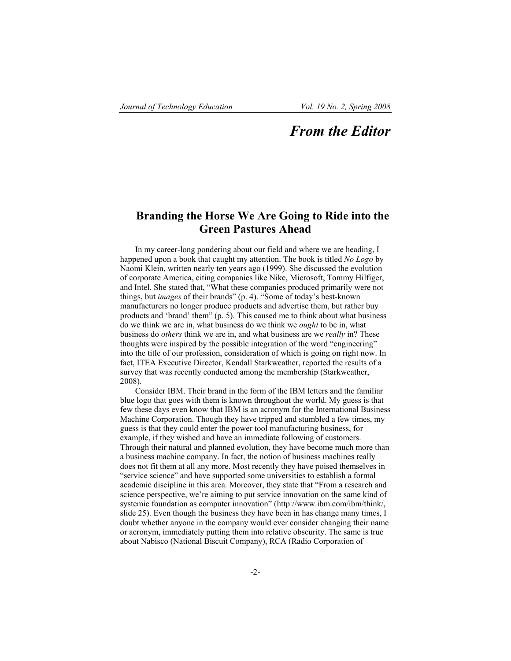## *From the Editor*

## **Branding the Horse We Are Going to Ride into the Green Pastures Ahead**

In my career-long pondering about our field and where we are heading, I happened upon a book that caught my attention. The book is titled *No Logo* by Naomi Klein, written nearly ten years ago (1999). She discussed the evolution of corporate America, citing companies like Nike, Microsoft, Tommy Hilfiger, and Intel. She stated that, "What these companies produced primarily were not things, but *images* of their brands" (p. 4). "Some of today's best-known manufacturers no longer produce products and advertise them, but rather buy products and 'brand' them" (p. 5). This caused me to think about what business do we think we are in, what business do we think we *ought* to be in, what business do *others* think we are in, and what business are we *really* in? These thoughts were inspired by the possible integration of the word "engineering" into the title of our profession, consideration of which is going on right now. In fact, ITEA Executive Director, Kendall Starkweather, reported the results of a survey that was recently conducted among the membership (Starkweather, 2008).

Consider IBM. Their brand in the form of the IBM letters and the familiar blue logo that goes with them is known throughout the world. My guess is that few these days even know that IBM is an acronym for the International Business Machine Corporation. Though they have tripped and stumbled a few times, my guess is that they could enter the power tool manufacturing business, for example, if they wished and have an immediate following of customers. Through their natural and planned evolution, they have become much more than a business machine company. In fact, the notion of business machines really does not fit them at all any more. Most recently they have poised themselves in "service science" and have supported some universities to establish a formal academic discipline in this area. Moreover, they state that "From a research and science perspective, we're aiming to put service innovation on the same kind of systemic foundation as computer innovation" (http://www.ibm.com/ibm/think/, slide 25). Even though the business they have been in has change many times, I doubt whether anyone in the company would ever consider changing their name or acronym, immediately putting them into relative obscurity. The same is true about Nabisco (National Biscuit Company), RCA (Radio Corporation of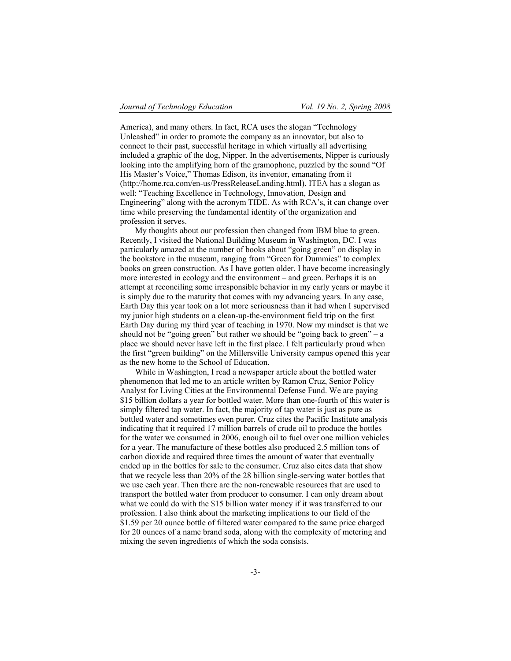America), and many others. In fact, RCA uses the slogan "Technology Unleashed" in order to promote the company as an innovator, but also to connect to their past, successful heritage in which virtually all advertising included a graphic of the dog, Nipper. In the advertisements, Nipper is curiously looking into the amplifying horn of the gramophone, puzzled by the sound "Of His Master's Voice," Thomas Edison, its inventor, emanating from it (http://home.rca.com/en-us/PressReleaseLanding.html). ITEA has a slogan as well: "Teaching Excellence in Technology, Innovation, Design and Engineering" along with the acronym TIDE. As with RCA's, it can change over time while preserving the fundamental identity of the organization and profession it serves.

My thoughts about our profession then changed from IBM blue to green. Recently, I visited the National Building Museum in Washington, DC. I was particularly amazed at the number of books about "going green" on display in the bookstore in the museum, ranging from "Green for Dummies" to complex books on green construction. As I have gotten older, I have become increasingly more interested in ecology and the environment – and green. Perhaps it is an attempt at reconciling some irresponsible behavior in my early years or maybe it is simply due to the maturity that comes with my advancing years. In any case, Earth Day this year took on a lot more seriousness than it had when I supervised my junior high students on a clean-up-the-environment field trip on the first Earth Day during my third year of teaching in 1970. Now my mindset is that we should not be "going green" but rather we should be "going back to green" – a place we should never have left in the first place. I felt particularly proud when the first "green building" on the Millersville University campus opened this year as the new home to the School of Education.

While in Washington, I read a newspaper article about the bottled water phenomenon that led me to an article written by Ramon Cruz, Senior Policy Analyst for Living Cities at the Environmental Defense Fund. We are paying \$15 billion dollars a year for bottled water. More than one-fourth of this water is simply filtered tap water. In fact, the majority of tap water is just as pure as bottled water and sometimes even purer. Cruz cites the Pacific Institute analysis indicating that it required 17 million barrels of crude oil to produce the bottles for the water we consumed in 2006, enough oil to fuel over one million vehicles for a year. The manufacture of these bottles also produced 2.5 million tons of carbon dioxide and required three times the amount of water that eventually ended up in the bottles for sale to the consumer. Cruz also cites data that show that we recycle less than 20% of the 28 billion single-serving water bottles that we use each year. Then there are the non-renewable resources that are used to transport the bottled water from producer to consumer. I can only dream about what we could do with the \$15 billion water money if it was transferred to our profession. I also think about the marketing implications to our field of the \$1.59 per 20 ounce bottle of filtered water compared to the same price charged for 20 ounces of a name brand soda, along with the complexity of metering and mixing the seven ingredients of which the soda consists.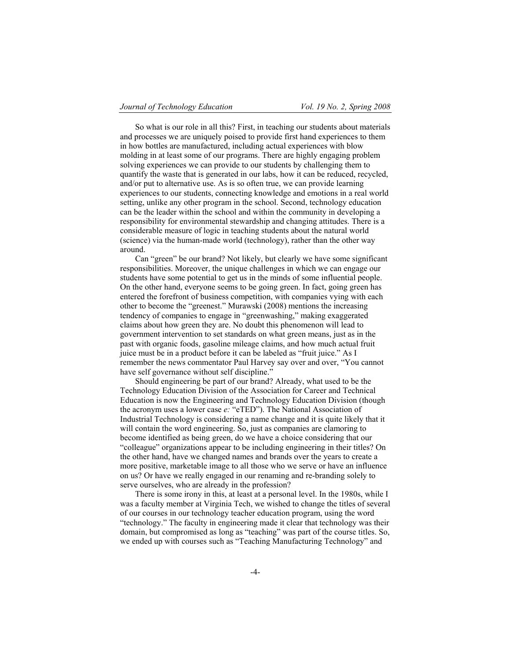So what is our role in all this? First, in teaching our students about materials and processes we are uniquely poised to provide first hand experiences to them in how bottles are manufactured, including actual experiences with blow molding in at least some of our programs. There are highly engaging problem solving experiences we can provide to our students by challenging them to quantify the waste that is generated in our labs, how it can be reduced, recycled, and/or put to alternative use. As is so often true, we can provide learning experiences to our students, connecting knowledge and emotions in a real world setting, unlike any other program in the school. Second, technology education can be the leader within the school and within the community in developing a responsibility for environmental stewardship and changing attitudes. There is a considerable measure of logic in teaching students about the natural world (science) via the human-made world (technology), rather than the other way around.

Can "green" be our brand? Not likely, but clearly we have some significant responsibilities. Moreover, the unique challenges in which we can engage our students have some potential to get us in the minds of some influential people. On the other hand, everyone seems to be going green. In fact, going green has entered the forefront of business competition, with companies vying with each other to become the "greenest." Murawski (2008) mentions the increasing tendency of companies to engage in "greenwashing," making exaggerated claims about how green they are. No doubt this phenomenon will lead to government intervention to set standards on what green means, just as in the past with organic foods, gasoline mileage claims, and how much actual fruit juice must be in a product before it can be labeled as "fruit juice." As I remember the news commentator Paul Harvey say over and over, "You cannot have self governance without self discipline."

Should engineering be part of our brand? Already, what used to be the Technology Education Division of the Association for Career and Technical Education is now the Engineering and Technology Education Division (though the acronym uses a lower case *e:* "eTED"). The National Association of Industrial Technology is considering a name change and it is quite likely that it will contain the word engineering. So, just as companies are clamoring to become identified as being green, do we have a choice considering that our "colleague" organizations appear to be including engineering in their titles? On the other hand, have we changed names and brands over the years to create a more positive, marketable image to all those who we serve or have an influence on us? Or have we really engaged in our renaming and re-branding solely to serve ourselves, who are already in the profession?

There is some irony in this, at least at a personal level. In the 1980s, while I was a faculty member at Virginia Tech, we wished to change the titles of several of our courses in our technology teacher education program, using the word "technology." The faculty in engineering made it clear that technology was their domain, but compromised as long as "teaching" was part of the course titles. So, we ended up with courses such as "Teaching Manufacturing Technology" and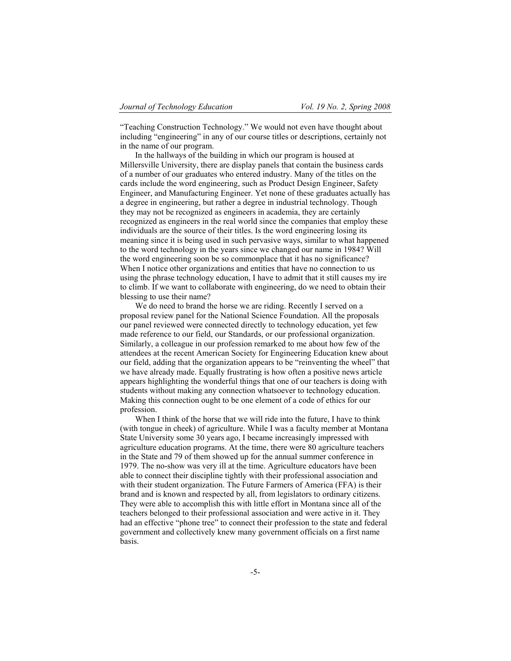"Teaching Construction Technology." We would not even have thought about including "engineering" in any of our course titles or descriptions, certainly not in the name of our program.

In the hallways of the building in which our program is housed at Millersville University, there are display panels that contain the business cards of a number of our graduates who entered industry. Many of the titles on the cards include the word engineering, such as Product Design Engineer, Safety Engineer, and Manufacturing Engineer. Yet none of these graduates actually has a degree in engineering, but rather a degree in industrial technology. Though they may not be recognized as engineers in academia, they are certainly recognized as engineers in the real world since the companies that employ these individuals are the source of their titles. Is the word engineering losing its meaning since it is being used in such pervasive ways, similar to what happened to the word technology in the years since we changed our name in 1984? Will the word engineering soon be so commonplace that it has no significance? When I notice other organizations and entities that have no connection to us using the phrase technology education, I have to admit that it still causes my ire to climb. If we want to collaborate with engineering, do we need to obtain their blessing to use their name?

We do need to brand the horse we are riding. Recently I served on a proposal review panel for the National Science Foundation. All the proposals our panel reviewed were connected directly to technology education, yet few made reference to our field, our Standards, or our professional organization. Similarly, a colleague in our profession remarked to me about how few of the attendees at the recent American Society for Engineering Education knew about our field, adding that the organization appears to be "reinventing the wheel" that we have already made. Equally frustrating is how often a positive news article appears highlighting the wonderful things that one of our teachers is doing with students without making any connection whatsoever to technology education. Making this connection ought to be one element of a code of ethics for our profession.

When I think of the horse that we will ride into the future, I have to think (with tongue in cheek) of agriculture. While I was a faculty member at Montana State University some 30 years ago, I became increasingly impressed with agriculture education programs. At the time, there were 80 agriculture teachers in the State and 79 of them showed up for the annual summer conference in 1979. The no-show was very ill at the time. Agriculture educators have been able to connect their discipline tightly with their professional association and with their student organization. The Future Farmers of America (FFA) is their brand and is known and respected by all, from legislators to ordinary citizens. They were able to accomplish this with little effort in Montana since all of the teachers belonged to their professional association and were active in it. They had an effective "phone tree" to connect their profession to the state and federal government and collectively knew many government officials on a first name basis.